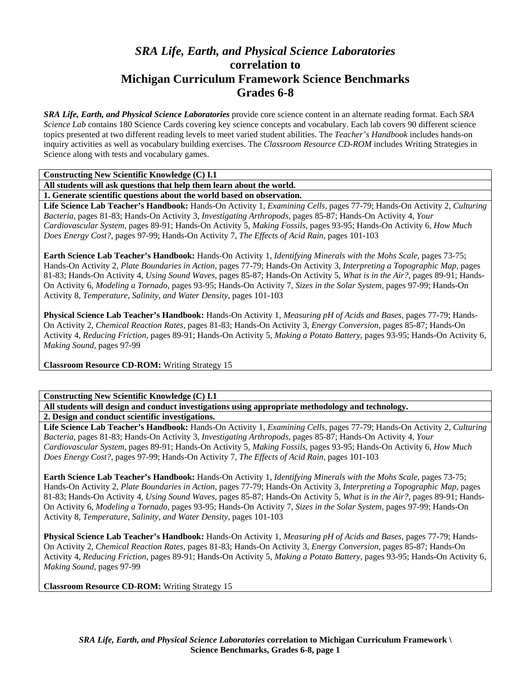# *SRA Life, Earth, and Physical Science Laboratories*  **correlation to Michigan Curriculum Framework Science Benchmarks Grades 6-8**

*SRA Life, Earth, and Physical Science Laboratories* provide core science content in an alternate reading format. Each *SRA Science Lab* contains 180 Science Cards covering key science concepts and vocabulary. Each lab covers 90 different science topics presented at two different reading levels to meet varied student abilities. The *Teacher's Handbook* includes hands-on inquiry activities as well as vocabulary building exercises. The *Classroom Resource CD-ROM* includes Writing Strategies in Science along with tests and vocabulary games.

**Constructing New Scientific Knowledge (C) I.1** 

**All students will ask questions that help them learn about the world.** 

**1. Generate scientific questions about the world based on observation.** 

**Life Science Lab Teacher's Handbook:** Hands-On Activity 1, *Examining Cells,* pages 77-79; Hands-On Activity 2, *Culturing Bacteria,* pages 81-83; Hands-On Activity 3, *Investigating Arthropods,* pages 85-87; Hands-On Activity 4, *Your Cardiovascular System,* pages 89-91; Hands-On Activity 5, *Making Fossils,* pages 93-95; Hands-On Activity 6, *How Much Does Energy Cost?,* pages 97-99; Hands-On Activity 7, *The Effects of Acid Rain,* pages 101-103

**Earth Science Lab Teacher's Handbook:** Hands-On Activity 1, *Identifying Minerals with the Mohs Scale,* pages 73-75; Hands-On Activity 2, *Plate Boundaries in Action,* pages 77-79; Hands-On Activity 3, *Interpreting a Topographic Map,* pages 81-83; Hands-On Activity 4, *Using Sound Waves,* pages 85-87; Hands-On Activity 5, *What is in the Air?,* pages 89-91; Hands-On Activity 6, *Modeling a Tornado,* pages 93-95; Hands-On Activity 7, *Sizes in the Solar System,* pages 97-99; Hands-On Activity 8, *Temperature, Salinity, and Water Density,* pages 101-103

**Physical Science Lab Teacher's Handbook:** Hands-On Activity 1, *Measuring pH of Acids and Bases,* pages 77-79; Hands-On Activity 2, *Chemical Reaction Rates,* pages 81-83; Hands-On Activity 3, *Energy Conversion,* pages 85-87; Hands-On Activity 4, *Reducing Friction,* pages 89-91; Hands-On Activity 5, *Making a Potato Battery,* pages 93-95; Hands-On Activity 6, *Making Sound,* pages 97-99

**Classroom Resource CD-ROM:** Writing Strategy 15

**Constructing New Scientific Knowledge (C) I.1** 

**All students will design and conduct investigations using appropriate methodology and technology.** 

**2. Design and conduct scientific investigations.** 

**Life Science Lab Teacher's Handbook:** Hands-On Activity 1, *Examining Cells,* pages 77-79; Hands-On Activity 2, *Culturing Bacteria,* pages 81-83; Hands-On Activity 3, *Investigating Arthropods,* pages 85-87; Hands-On Activity 4, *Your Cardiovascular System,* pages 89-91; Hands-On Activity 5, *Making Fossils,* pages 93-95; Hands-On Activity 6, *How Much Does Energy Cost?,* pages 97-99; Hands-On Activity 7, *The Effects of Acid Rain,* pages 101-103

**Earth Science Lab Teacher's Handbook:** Hands-On Activity 1, *Identifying Minerals with the Mohs Scale,* pages 73-75; Hands-On Activity 2, *Plate Boundaries in Action,* pages 77-79; Hands-On Activity 3, *Interpreting a Topographic Map,* pages 81-83; Hands-On Activity 4, *Using Sound Waves,* pages 85-87; Hands-On Activity 5, *What is in the Air?,* pages 89-91; Hands-On Activity 6, *Modeling a Tornado,* pages 93-95; Hands-On Activity 7, *Sizes in the Solar System,* pages 97-99; Hands-On Activity 8, *Temperature, Salinity, and Water Density,* pages 101-103

**Physical Science Lab Teacher's Handbook:** Hands-On Activity 1, *Measuring pH of Acids and Bases,* pages 77-79; Hands-On Activity 2, *Chemical Reaction Rates,* pages 81-83; Hands-On Activity 3, *Energy Conversion,* pages 85-87; Hands-On Activity 4, *Reducing Friction,* pages 89-91; Hands-On Activity 5, *Making a Potato Battery,* pages 93-95; Hands-On Activity 6, *Making Sound,* pages 97-99

**Classroom Resource CD-ROM:** Writing Strategy 15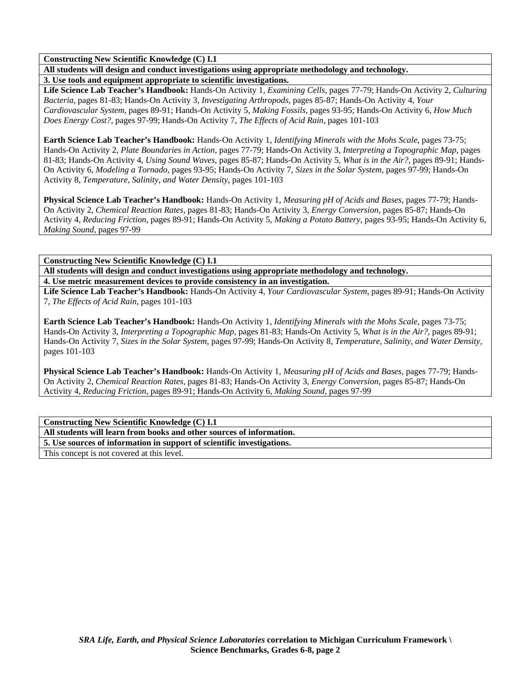**Constructing New Scientific Knowledge (C) I.1** 

**All students will design and conduct investigations using appropriate methodology and technology. 3. Use tools and equipment appropriate to scientific investigations.** 

**Life Science Lab Teacher's Handbook:** Hands-On Activity 1, *Examining Cells,* pages 77-79; Hands-On Activity 2, *Culturing Bacteria,* pages 81-83; Hands-On Activity 3, *Investigating Arthropods,* pages 85-87; Hands-On Activity 4, *Your Cardiovascular System,* pages 89-91; Hands-On Activity 5, *Making Fossils,* pages 93-95; Hands-On Activity 6, *How Much Does Energy Cost?,* pages 97-99; Hands-On Activity 7, *The Effects of Acid Rain,* pages 101-103

**Earth Science Lab Teacher's Handbook:** Hands-On Activity 1, *Identifying Minerals with the Mohs Scale,* pages 73-75; Hands-On Activity 2, *Plate Boundaries in Action,* pages 77-79; Hands-On Activity 3, *Interpreting a Topographic Map,* pages 81-83; Hands-On Activity 4, *Using Sound Waves,* pages 85-87; Hands-On Activity 5, *What is in the Air?,* pages 89-91; Hands-On Activity 6, *Modeling a Tornado,* pages 93-95; Hands-On Activity 7, *Sizes in the Solar System,* pages 97-99; Hands-On Activity 8, *Temperature, Salinity, and Water Density,* pages 101-103

**Physical Science Lab Teacher's Handbook:** Hands-On Activity 1, *Measuring pH of Acids and Bases,* pages 77-79; Hands-On Activity 2, *Chemical Reaction Rates,* pages 81-83; Hands-On Activity 3, *Energy Conversion,* pages 85-87; Hands-On Activity 4, *Reducing Friction,* pages 89-91; Hands-On Activity 5, *Making a Potato Battery,* pages 93-95; Hands-On Activity 6, *Making Sound,* pages 97-99

**Constructing New Scientific Knowledge (C) I.1** 

**All students will design and conduct investigations using appropriate methodology and technology. 4. Use metric measurement devices to provide consistency in an investigation.** 

**Life Science Lab Teacher's Handbook:** Hands-On Activity 4, *Your Cardiovascular System,* pages 89-91; Hands-On Activity 7, *The Effects of Acid Rain,* pages 101-103

**Earth Science Lab Teacher's Handbook:** Hands-On Activity 1, *Identifying Minerals with the Mohs Scale,* pages 73-75; Hands-On Activity 3, *Interpreting a Topographic Map,* pages 81-83; Hands-On Activity 5, *What is in the Air?,* pages 89-91; Hands-On Activity 7, *Sizes in the Solar System,* pages 97-99; Hands-On Activity 8, *Temperature, Salinity, and Water Density,* pages 101-103

**Physical Science Lab Teacher's Handbook:** Hands-On Activity 1, *Measuring pH of Acids and Bases,* pages 77-79; Hands-On Activity 2, *Chemical Reaction Rates,* pages 81-83; Hands-On Activity 3, *Energy Conversion,* pages 85-87; Hands-On Activity 4, *Reducing Friction,* pages 89-91; Hands-On Activity 6, *Making Sound,* pages 97-99

**Constructing New Scientific Knowledge (C) I.1** 

**All students will learn from books and other sources of information.** 

**5. Use sources of information in support of scientific investigations.** 

This concept is not covered at this level.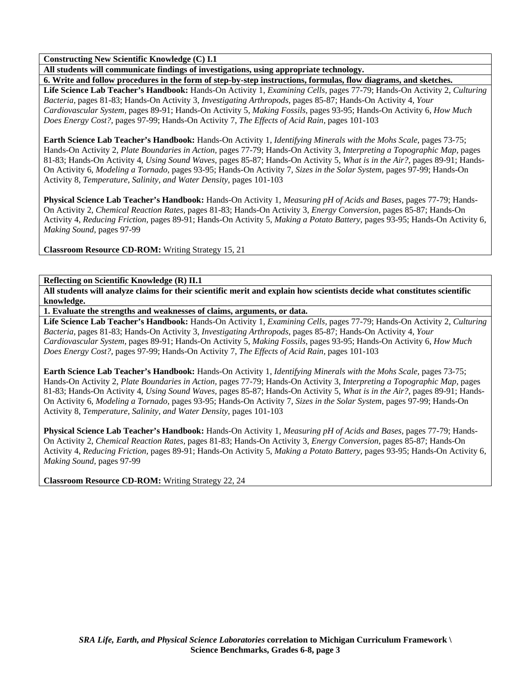**Constructing New Scientific Knowledge (C) I.1** 

**All students will communicate findings of investigations, using appropriate technology.** 

**6. Write and follow procedures in the form of step-by-step instructions, formulas, flow diagrams, and sketches. Life Science Lab Teacher's Handbook:** Hands-On Activity 1, *Examining Cells,* pages 77-79; Hands-On Activity 2, *Culturing Bacteria,* pages 81-83; Hands-On Activity 3, *Investigating Arthropods,* pages 85-87; Hands-On Activity 4, *Your Cardiovascular System,* pages 89-91; Hands-On Activity 5, *Making Fossils,* pages 93-95; Hands-On Activity 6, *How Much Does Energy Cost?,* pages 97-99; Hands-On Activity 7, *The Effects of Acid Rain,* pages 101-103

**Earth Science Lab Teacher's Handbook:** Hands-On Activity 1, *Identifying Minerals with the Mohs Scale,* pages 73-75; Hands-On Activity 2, *Plate Boundaries in Action,* pages 77-79; Hands-On Activity 3, *Interpreting a Topographic Map,* pages 81-83; Hands-On Activity 4, *Using Sound Waves,* pages 85-87; Hands-On Activity 5, *What is in the Air?,* pages 89-91; Hands-On Activity 6, *Modeling a Tornado,* pages 93-95; Hands-On Activity 7, *Sizes in the Solar System,* pages 97-99; Hands-On Activity 8, *Temperature, Salinity, and Water Density,* pages 101-103

**Physical Science Lab Teacher's Handbook:** Hands-On Activity 1, *Measuring pH of Acids and Bases,* pages 77-79; Hands-On Activity 2, *Chemical Reaction Rates,* pages 81-83; Hands-On Activity 3, *Energy Conversion,* pages 85-87; Hands-On Activity 4, *Reducing Friction,* pages 89-91; Hands-On Activity 5, *Making a Potato Battery,* pages 93-95; Hands-On Activity 6, *Making Sound,* pages 97-99

**Classroom Resource CD-ROM:** Writing Strategy 15, 21

**Reflecting on Scientific Knowledge (R) II.1** 

**All students will analyze claims for their scientific merit and explain how scientists decide what constitutes scientific knowledge.** 

**1. Evaluate the strengths and weaknesses of claims, arguments, or data.** 

**Life Science Lab Teacher's Handbook:** Hands-On Activity 1, *Examining Cells,* pages 77-79; Hands-On Activity 2, *Culturing Bacteria,* pages 81-83; Hands-On Activity 3, *Investigating Arthropods,* pages 85-87; Hands-On Activity 4, *Your Cardiovascular System,* pages 89-91; Hands-On Activity 5, *Making Fossils,* pages 93-95; Hands-On Activity 6, *How Much Does Energy Cost?,* pages 97-99; Hands-On Activity 7, *The Effects of Acid Rain,* pages 101-103

**Earth Science Lab Teacher's Handbook:** Hands-On Activity 1, *Identifying Minerals with the Mohs Scale,* pages 73-75; Hands-On Activity 2, *Plate Boundaries in Action,* pages 77-79; Hands-On Activity 3, *Interpreting a Topographic Map,* pages 81-83; Hands-On Activity 4, *Using Sound Waves,* pages 85-87; Hands-On Activity 5, *What is in the Air?,* pages 89-91; Hands-On Activity 6, *Modeling a Tornado,* pages 93-95; Hands-On Activity 7, *Sizes in the Solar System,* pages 97-99; Hands-On Activity 8, *Temperature, Salinity, and Water Density,* pages 101-103

**Physical Science Lab Teacher's Handbook:** Hands-On Activity 1, *Measuring pH of Acids and Bases,* pages 77-79; Hands-On Activity 2, *Chemical Reaction Rates,* pages 81-83; Hands-On Activity 3, *Energy Conversion,* pages 85-87; Hands-On Activity 4, *Reducing Friction,* pages 89-91; Hands-On Activity 5, *Making a Potato Battery,* pages 93-95; Hands-On Activity 6, *Making Sound,* pages 97-99

**Classroom Resource CD-ROM:** Writing Strategy 22, 24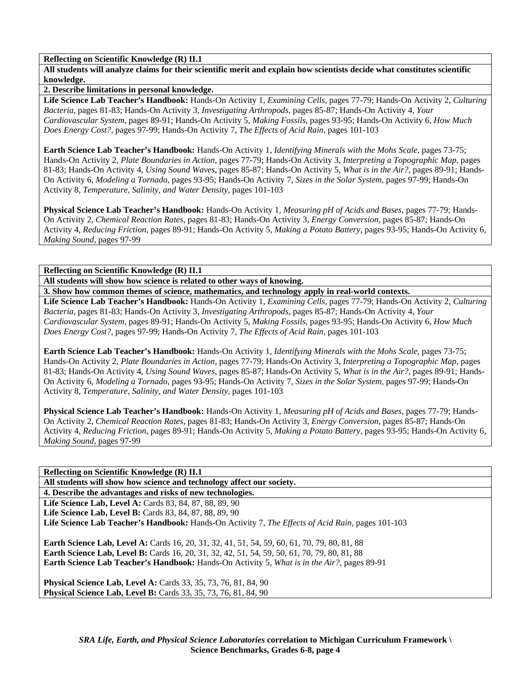**Reflecting on Scientific Knowledge (R) II.1** 

**All students will analyze claims for their scientific merit and explain how scientists decide what constitutes scientific knowledge.** 

**2. Describe limitations in personal knowledge.** 

**Life Science Lab Teacher's Handbook:** Hands-On Activity 1, *Examining Cells,* pages 77-79; Hands-On Activity 2, *Culturing Bacteria,* pages 81-83; Hands-On Activity 3, *Investigating Arthropods,* pages 85-87; Hands-On Activity 4, *Your Cardiovascular System,* pages 89-91; Hands-On Activity 5, *Making Fossils,* pages 93-95; Hands-On Activity 6, *How Much Does Energy Cost?,* pages 97-99; Hands-On Activity 7, *The Effects of Acid Rain,* pages 101-103

**Earth Science Lab Teacher's Handbook:** Hands-On Activity 1, *Identifying Minerals with the Mohs Scale,* pages 73-75; Hands-On Activity 2, *Plate Boundaries in Action,* pages 77-79; Hands-On Activity 3, *Interpreting a Topographic Map,* pages 81-83; Hands-On Activity 4, *Using Sound Waves,* pages 85-87; Hands-On Activity 5, *What is in the Air?,* pages 89-91; Hands-On Activity 6, *Modeling a Tornado,* pages 93-95; Hands-On Activity 7, *Sizes in the Solar System,* pages 97-99; Hands-On Activity 8, *Temperature, Salinity, and Water Density,* pages 101-103

**Physical Science Lab Teacher's Handbook:** Hands-On Activity 1, *Measuring pH of Acids and Bases,* pages 77-79; Hands-On Activity 2, *Chemical Reaction Rates,* pages 81-83; Hands-On Activity 3, *Energy Conversion,* pages 85-87; Hands-On Activity 4, *Reducing Friction,* pages 89-91; Hands-On Activity 5, *Making a Potato Battery,* pages 93-95; Hands-On Activity 6, *Making Sound,* pages 97-99

**Reflecting on Scientific Knowledge (R) II.1** 

**All students will show how science is related to other ways of knowing.** 

**3. Show how common themes of science, mathematics, and technology apply in real-world contexts.** 

**Life Science Lab Teacher's Handbook:** Hands-On Activity 1, *Examining Cells,* pages 77-79; Hands-On Activity 2, *Culturing Bacteria,* pages 81-83; Hands-On Activity 3, *Investigating Arthropods,* pages 85-87; Hands-On Activity 4, *Your Cardiovascular System,* pages 89-91; Hands-On Activity 5, *Making Fossils,* pages 93-95; Hands-On Activity 6, *How Much Does Energy Cost?,* pages 97-99; Hands-On Activity 7, *The Effects of Acid Rain,* pages 101-103

**Earth Science Lab Teacher's Handbook:** Hands-On Activity 1, *Identifying Minerals with the Mohs Scale,* pages 73-75; Hands-On Activity 2, *Plate Boundaries in Action,* pages 77-79; Hands-On Activity 3, *Interpreting a Topographic Map,* pages 81-83; Hands-On Activity 4, *Using Sound Waves,* pages 85-87; Hands-On Activity 5, *What is in the Air?,* pages 89-91; Hands-On Activity 6, *Modeling a Tornado,* pages 93-95; Hands-On Activity 7, *Sizes in the Solar System,* pages 97-99; Hands-On Activity 8, *Temperature, Salinity, and Water Density,* pages 101-103

**Physical Science Lab Teacher's Handbook:** Hands-On Activity 1, *Measuring pH of Acids and Bases,* pages 77-79; Hands-On Activity 2, *Chemical Reaction Rates,* pages 81-83; Hands-On Activity 3, *Energy Conversion,* pages 85-87; Hands-On Activity 4, *Reducing Friction,* pages 89-91; Hands-On Activity 5, *Making a Potato Battery,* pages 93-95; Hands-On Activity 6, *Making Sound,* pages 97-99

**Reflecting on Scientific Knowledge (R) II.1** 

**All students will show how science and technology affect our society.** 

**4. Describe the advantages and risks of new technologies.** 

**Life Science Lab, Level A: Cards 83, 84, 87, 88, 89, 90 Life Science Lab, Level B:** Cards 83, 84, 87, 88, 89, 90 **Life Science Lab Teacher's Handbook:** Hands-On Activity 7, *The Effects of Acid Rain,* pages 101-103

Earth Science Lab, Level A: Cards 16, 20, 31, 32, 41, 51, 54, 59, 60, 61, 70, 79, 80, 81, 88 Earth Science Lab, Level B: Cards 16, 20, 31, 32, 42, 51, 54, 59, 50, 61, 70, 79, 80, 81, 88 **Earth Science Lab Teacher's Handbook:** Hands-On Activity 5, *What is in the Air?,* pages 89-91

**Physical Science Lab, Level A:** Cards 33, 35, 73, 76, 81, 84, 90 **Physical Science Lab, Level B:** Cards 33, 35, 73, 76, 81, 84, 90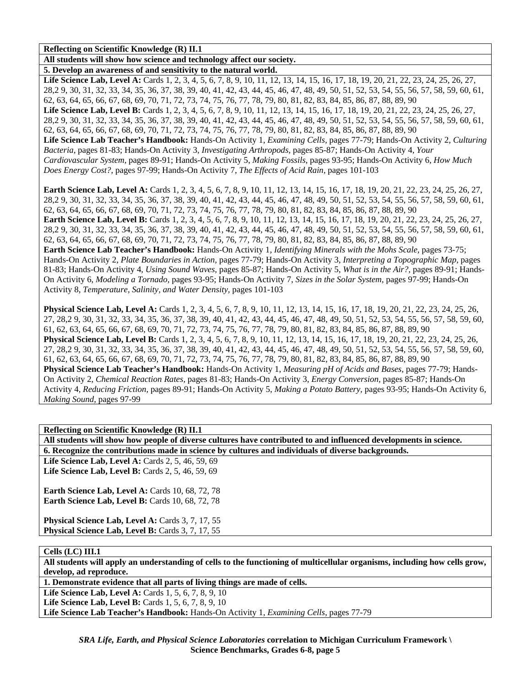**Reflecting on Scientific Knowledge (R) II.1** 

**All students will show how science and technology affect our society.** 

**5. Develop an awareness of and sensitivity to the natural world.** 

Life Science Lab, Level A: Cards 1, 2, 3, 4, 5, 6, 7, 8, 9, 10, 11, 12, 13, 14, 15, 16, 17, 18, 19, 20, 21, 22, 23, 24, 25, 26, 27, 28,2 9, 30, 31, 32, 33, 34, 35, 36, 37, 38, 39, 40, 41, 42, 43, 44, 45, 46, 47, 48, 49, 50, 51, 52, 53, 54, 55, 56, 57, 58, 59, 60, 61, 62, 63, 64, 65, 66, 67, 68, 69, 70, 71, 72, 73, 74, 75, 76, 77, 78, 79, 80, 81, 82, 83, 84, 85, 86, 87, 88, 89, 90 Life Science Lab, Level B: Cards 1, 2, 3, 4, 5, 6, 7, 8, 9, 10, 11, 12, 13, 14, 15, 16, 17, 18, 19, 20, 21, 22, 23, 24, 25, 26, 27, 28,2 9, 30, 31, 32, 33, 34, 35, 36, 37, 38, 39, 40, 41, 42, 43, 44, 45, 46, 47, 48, 49, 50, 51, 52, 53, 54, 55, 56, 57, 58, 59, 60, 61, 62, 63, 64, 65, 66, 67, 68, 69, 70, 71, 72, 73, 74, 75, 76, 77, 78, 79, 80, 81, 82, 83, 84, 85, 86, 87, 88, 89, 90 **Life Science Lab Teacher's Handbook:** Hands-On Activity 1, *Examining Cells,* pages 77-79; Hands-On Activity 2, *Culturing Bacteria,* pages 81-83; Hands-On Activity 3, *Investigating Arthropods,* pages 85-87; Hands-On Activity 4, *Your Cardiovascular System,* pages 89-91; Hands-On Activity 5, *Making Fossils,* pages 93-95; Hands-On Activity 6, *How Much Does Energy Cost?,* pages 97-99; Hands-On Activity 7, *The Effects of Acid Rain,* pages 101-103

**Earth Science Lab, Level A:** Cards 1, 2, 3, 4, 5, 6, 7, 8, 9, 10, 11, 12, 13, 14, 15, 16, 17, 18, 19, 20, 21, 22, 23, 24, 25, 26, 27, 28,2 9, 30, 31, 32, 33, 34, 35, 36, 37, 38, 39, 40, 41, 42, 43, 44, 45, 46, 47, 48, 49, 50, 51, 52, 53, 54, 55, 56, 57, 58, 59, 60, 61, 62, 63, 64, 65, 66, 67, 68, 69, 70, 71, 72, 73, 74, 75, 76, 77, 78, 79, 80, 81, 82, 83, 84, 85, 86, 87, 88, 89, 90

**Earth Science Lab, Level B:** Cards 1, 2, 3, 4, 5, 6, 7, 8, 9, 10, 11, 12, 13, 14, 15, 16, 17, 18, 19, 20, 21, 22, 23, 24, 25, 26, 27, 28,2 9, 30, 31, 32, 33, 34, 35, 36, 37, 38, 39, 40, 41, 42, 43, 44, 45, 46, 47, 48, 49, 50, 51, 52, 53, 54, 55, 56, 57, 58, 59, 60, 61, 62, 63, 64, 65, 66, 67, 68, 69, 70, 71, 72, 73, 74, 75, 76, 77, 78, 79, 80, 81, 82, 83, 84, 85, 86, 87, 88, 89, 90

**Earth Science Lab Teacher's Handbook:** Hands-On Activity 1, *Identifying Minerals with the Mohs Scale,* pages 73-75; Hands-On Activity 2, *Plate Boundaries in Action,* pages 77-79; Hands-On Activity 3, *Interpreting a Topographic Map,* pages 81-83; Hands-On Activity 4, *Using Sound Waves,* pages 85-87; Hands-On Activity 5, *What is in the Air?,* pages 89-91; Hands-On Activity 6, *Modeling a Tornado,* pages 93-95; Hands-On Activity 7, *Sizes in the Solar System,* pages 97-99; Hands-On Activity 8, *Temperature, Salinity, and Water Density,* pages 101-103

**Physical Science Lab, Level A:** Cards 1, 2, 3, 4, 5, 6, 7, 8, 9, 10, 11, 12, 13, 14, 15, 16, 17, 18, 19, 20, 21, 22, 23, 24, 25, 26, 27, 28,2 9, 30, 31, 32, 33, 34, 35, 36, 37, 38, 39, 40, 41, 42, 43, 44, 45, 46, 47, 48, 49, 50, 51, 52, 53, 54, 55, 56, 57, 58, 59, 60, 61, 62, 63, 64, 65, 66, 67, 68, 69, 70, 71, 72, 73, 74, 75, 76, 77, 78, 79, 80, 81, 82, 83, 84, 85, 86, 87, 88, 89, 90 **Physical Science Lab, Level B:** Cards 1, 2, 3, 4, 5, 6, 7, 8, 9, 10, 11, 12, 13, 14, 15, 16, 17, 18, 19, 20, 21, 22, 23, 24, 25, 26, 27, 28,2 9, 30, 31, 32, 33, 34, 35, 36, 37, 38, 39, 40, 41, 42, 43, 44, 45, 46, 47, 48, 49, 50, 51, 52, 53, 54, 55, 56, 57, 58, 59, 60, 61, 62, 63, 64, 65, 66, 67, 68, 69, 70, 71, 72, 73, 74, 75, 76, 77, 78, 79, 80, 81, 82, 83, 84, 85, 86, 87, 88, 89, 90 **Physical Science Lab Teacher's Handbook:** Hands-On Activity 1, *Measuring pH of Acids and Bases,* pages 77-79; Hands-On Activity 2, *Chemical Reaction Rates,* pages 81-83; Hands-On Activity 3, *Energy Conversion,* pages 85-87; Hands-On Activity 4, *Reducing Friction,* pages 89-91; Hands-On Activity 5, *Making a Potato Battery,* pages 93-95; Hands-On Activity 6, *Making Sound,* pages 97-99

**Reflecting on Scientific Knowledge (R) II.1** 

**All students will show how people of diverse cultures have contributed to and influenced developments in science. 6. Recognize the contributions made in science by cultures and individuals of diverse backgrounds.** 

Life Science Lab, Level A: Cards 2, 5, 46, 59, 69 **Life Science Lab, Level B:** Cards 2, 5, 46, 59, 69

**Earth Science Lab, Level A: Cards 10, 68, 72, 78 Earth Science Lab, Level B: Cards 10, 68, 72, 78** 

Physical Science Lab, Level A: Cards 3, 7, 17, 55 **Physical Science Lab, Level B: Cards 3, 7, 17, 55** 

**Cells (LC) III.1** 

**All students will apply an understanding of cells to the functioning of multicellular organisms, including how cells grow, develop, ad reproduce.** 

**1. Demonstrate evidence that all parts of living things are made of cells.** 

Life Science Lab, Level A: Cards 1, 5, 6, 7, 8, 9, 10 **Life Science Lab, Level B:** Cards 1, 5, 6, 7, 8, 9, 10

**Life Science Lab Teacher's Handbook:** Hands-On Activity 1, *Examining Cells,* pages 77-79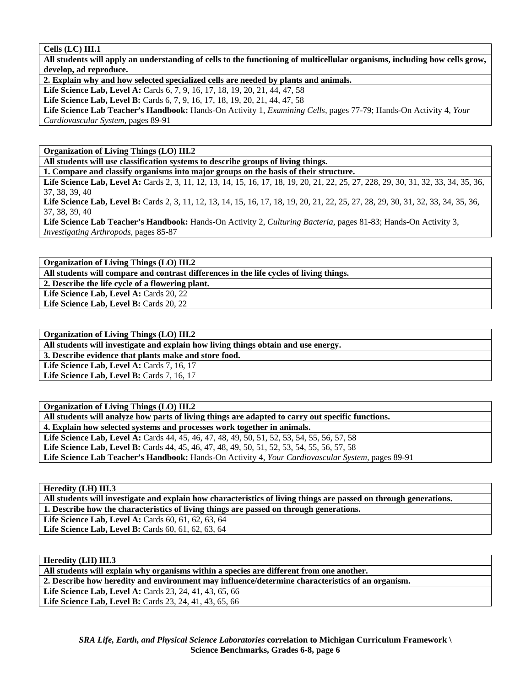#### **Cells (LC) III.1**

**All students will apply an understanding of cells to the functioning of multicellular organisms, including how cells grow, develop, ad reproduce.** 

**2. Explain why and how selected specialized cells are needed by plants and animals.** 

Life Science Lab, Level A: Cards 6, 7, 9, 16, 17, 18, 19, 20, 21, 44, 47, 58

Life Science Lab, Level B: Cards 6, 7, 9, 16, 17, 18, 19, 20, 21, 44, 47, 58

**Life Science Lab Teacher's Handbook:** Hands-On Activity 1, *Examining Cells,* pages 77-79; Hands-On Activity 4, *Your Cardiovascular System,* pages 89-91

**Organization of Living Things (LO) III.2** 

**All students will use classification systems to describe groups of living things.** 

**1. Compare and classify organisms into major groups on the basis of their structure.** 

Life Science Lab, Level A: Cards 2, 3, 11, 12, 13, 14, 15, 16, 17, 18, 19, 20, 21, 22, 25, 27, 228, 29, 30, 31, 32, 33, 34, 35, 36, 37, 38, 39, 40

Life Science Lab, Level B: Cards 2, 3, 11, 12, 13, 14, 15, 16, 17, 18, 19, 20, 21, 22, 25, 27, 28, 29, 30, 31, 32, 33, 34, 35, 36, 37, 38, 39, 40

**Life Science Lab Teacher's Handbook:** Hands-On Activity 2, *Culturing Bacteria,* pages 81-83; Hands-On Activity 3, *Investigating Arthropods,* pages 85-87

**Organization of Living Things (LO) III.2** 

**All students will compare and contrast differences in the life cycles of living things.** 

**2. Describe the life cycle of a flowering plant.** 

Life Science Lab, Level A: Cards 20, 22 Life Science Lab, Level B: Cards 20, 22

**Organization of Living Things (LO) III.2** 

**All students will investigate and explain how living things obtain and use energy.** 

**3. Describe evidence that plants make and store food.** 

**Life Science Lab, Level A: Cards 7, 16, 17** 

Life Science Lab, Level B: Cards 7, 16, 17

**Organization of Living Things (LO) III.2 All students will analyze how parts of living things are adapted to carry out specific functions. 4. Explain how selected systems and processes work together in animals. Life Science Lab, Level A:** Cards 44, 45, 46, 47, 48, 49, 50, 51, 52, 53, 54, 55, 56, 57, 58 Life Science Lab, Level B: Cards 44, 45, 46, 47, 48, 49, 50, 51, 52, 53, 54, 55, 56, 57, 58 **Life Science Lab Teacher's Handbook:** Hands-On Activity 4, *Your Cardiovascular System,* pages 89-91

**Heredity (LH) III.3** 

**All students will investigate and explain how characteristics of living things are passed on through generations. 1. Describe how the characteristics of living things are passed on through generations.**  Life Science Lab, Level A: Cards 60, 61, 62, 63, 64 Life Science Lab, Level B: Cards 60, 61, 62, 63, 64

**Heredity (LH) III.3**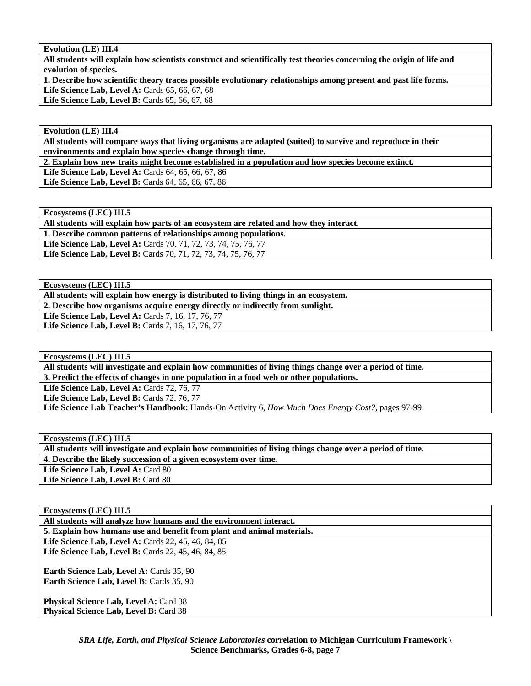## **Evolution (LE) III.4**

**All students will explain how scientists construct and scientifically test theories concerning the origin of life and evolution of species.** 

**1. Describe how scientific theory traces possible evolutionary relationships among present and past life forms.** 

**Life Science Lab, Level A:** Cards 65, 66, 67, 68

Life Science Lab, Level B: Cards 65, 66, 67, 68

#### **Evolution (LE) III.4**

**All students will compare ways that living organisms are adapted (suited) to survive and reproduce in their environments and explain how species change through time.** 

**2. Explain how new traits might become established in a population and how species become extinct.** 

**Life Science Lab, Level A:** Cards 64, 65, 66, 67, 86 Life Science Lab, Level B: Cards 64, 65, 66, 67, 86

**Ecosystems (LEC) III.5** 

**All students will explain how parts of an ecosystem are related and how they interact.** 

**1. Describe common patterns of relationships among populations.** 

**Life Science Lab, Level A:** Cards 70, 71, 72, 73, 74, 75, 76, 77

**Life Science Lab, Level B:** Cards 70, 71, 72, 73, 74, 75, 76, 77

**Ecosystems (LEC) III.5** 

**All students will explain how energy is distributed to living things in an ecosystem.** 

**2. Describe how organisms acquire energy directly or indirectly from sunlight.** 

**Life Science Lab, Level A: Cards 7, 16, 17, 76, 77** 

Life Science Lab, Level B: Cards 7, 16, 17, 76, 77

**Ecosystems (LEC) III.5** 

**All students will investigate and explain how communities of living things change over a period of time. 3. Predict the effects of changes in one population in a food web or other populations.** 

**Life Science Lab, Level A: Cards 72, 76, 77** 

**Life Science Lab, Level B: Cards 72, 76, 77** 

**Life Science Lab Teacher's Handbook:** Hands-On Activity 6, *How Much Does Energy Cost?,* pages 97-99

**Ecosystems (LEC) III.5** 

**All students will investigate and explain how communities of living things change over a period of time.** 

**4. Describe the likely succession of a given ecosystem over time.** 

Life Science Lab, Level A: Card 80

Life Science Lab, Level B: Card 80

## **Ecosystems (LEC) III.5**

**All students will analyze how humans and the environment interact.** 

**5. Explain how humans use and benefit from plant and animal materials.** 

**Life Science Lab, Level A: Cards 22, 45, 46, 84, 85 Life Science Lab, Level B: Cards 22, 45, 46, 84, 85** 

Earth Science Lab, Level A: Cards 35, 90 **Earth Science Lab, Level B: Cards 35, 90** 

**Physical Science Lab, Level A: Card 38 Physical Science Lab, Level B: Card 38**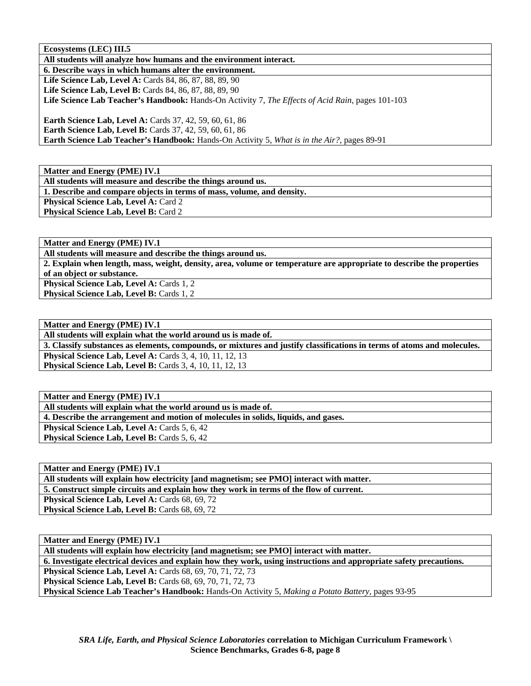**Ecosystems (LEC) III.5** 

**All students will analyze how humans and the environment interact.** 

**6. Describe ways in which humans alter the environment. Life Science Lab, Level A: Cards 84, 86, 87, 88, 89, 90 Life Science Lab, Level B:** Cards 84, 86, 87, 88, 89, 90 **Life Science Lab Teacher's Handbook:** Hands-On Activity 7, *The Effects of Acid Rain,* pages 101-103

**Earth Science Lab, Level A: Cards 37, 42, 59, 60, 61, 86 Earth Science Lab, Level B:** Cards 37, 42, 59, 60, 61, 86 **Earth Science Lab Teacher's Handbook:** Hands-On Activity 5, *What is in the Air?,* pages 89-91

**Matter and Energy (PME) IV.1** 

**All students will measure and describe the things around us. 1. Describe and compare objects in terms of mass, volume, and density.** 

**Physical Science Lab, Level A: Card 2** 

**Physical Science Lab, Level B: Card 2** 

**Matter and Energy (PME) IV.1** 

**All students will measure and describe the things around us.** 

**2. Explain when length, mass, weight, density, area, volume or temperature are appropriate to describe the properties of an object or substance.** 

**Physical Science Lab, Level A: Cards 1, 2 Physical Science Lab, Level B: Cards 1, 2** 

**Matter and Energy (PME) IV.1** 

**All students will explain what the world around us is made of.** 

**3. Classify substances as elements, compounds, or mixtures and justify classifications in terms of atoms and molecules. Physical Science Lab, Level A: Cards 3, 4, 10, 11, 12, 13** 

**Physical Science Lab, Level B:** Cards 3, 4, 10, 11, 12, 13

**Matter and Energy (PME) IV.1** 

**All students will explain what the world around us is made of.** 

**4. Describe the arrangement and motion of molecules in solids, liquids, and gases.** 

**Physical Science Lab, Level A: Cards 5, 6, 42** 

**Physical Science Lab, Level B: Cards 5, 6, 42** 

**Matter and Energy (PME) IV.1** 

**All students will explain how electricity [and magnetism; see PMO] interact with matter.** 

**5. Construct simple circuits and explain how they work in terms of the flow of current.** 

Physical Science Lab, Level A: Cards 68, 69, 72 Physical Science Lab, Level B: Cards 68, 69, 72

**Matter and Energy (PME) IV.1** 

**All students will explain how electricity [and magnetism; see PMO] interact with matter.** 

**6. Investigate electrical devices and explain how they work, using instructions and appropriate safety precautions.** 

**Physical Science Lab, Level A: Cards 68, 69, 70, 71, 72, 73** 

**Physical Science Lab, Level B: Cards 68, 69, 70, 71, 72, 73** 

**Physical Science Lab Teacher's Handbook:** Hands-On Activity 5, *Making a Potato Battery,* pages 93-95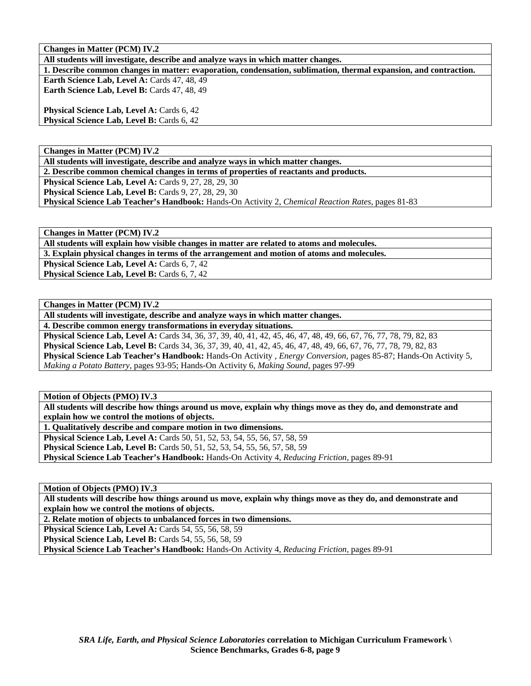**Changes in Matter (PCM) IV.2** 

**All students will investigate, describe and analyze ways in which matter changes.** 

**1. Describe common changes in matter: evaporation, condensation, sublimation, thermal expansion, and contraction. Earth Science Lab, Level A: Cards 47, 48, 49** 

Earth Science Lab, Level B: Cards 47, 48, 49

**Physical Science Lab, Level A: Cards 6, 42 Physical Science Lab, Level B: Cards 6, 42** 

**Changes in Matter (PCM) IV.2** 

**All students will investigate, describe and analyze ways in which matter changes.** 

**2. Describe common chemical changes in terms of properties of reactants and products.** 

**Physical Science Lab, Level A: Cards 9, 27, 28, 29, 30** 

**Physical Science Lab, Level B: Cards 9, 27, 28, 29, 30** 

**Physical Science Lab Teacher's Handbook:** Hands-On Activity 2, *Chemical Reaction Rates,* pages 81-83

**Changes in Matter (PCM) IV.2** 

**All students will explain how visible changes in matter are related to atoms and molecules.** 

**3. Explain physical changes in terms of the arrangement and motion of atoms and molecules.** 

Physical Science Lab, Level A: Cards 6, 7, 42

**Physical Science Lab, Level B: Cards 6, 7, 42** 

**Changes in Matter (PCM) IV.2** 

**All students will investigate, describe and analyze ways in which matter changes.** 

**4. Describe common energy transformations in everyday situations.** 

**Physical Science Lab, Level A:** Cards 34, 36, 37, 39, 40, 41, 42, 45, 46, 47, 48, 49, 66, 67, 76, 77, 78, 79, 82, 83 **Physical Science Lab, Level B:** Cards 34, 36, 37, 39, 40, 41, 42, 45, 46, 47, 48, 49, 66, 67, 76, 77, 78, 79, 82, 83 **Physical Science Lab Teacher's Handbook:** Hands-On Activity , *Energy Conversion,* pages 85-87; Hands-On Activity 5, *Making a Potato Battery,* pages 93-95; Hands-On Activity 6, *Making Sound,* pages 97-99

**Motion of Objects (PMO) IV.3** 

**All students will describe how things around us move, explain why things move as they do, and demonstrate and explain how we control the motions of objects.** 

**1. Qualitatively describe and compare motion in two dimensions.** 

**Physical Science Lab, Level A:** Cards 50, 51, 52, 53, 54, 55, 56, 57, 58, 59

**Physical Science Lab, Level B:** Cards 50, 51, 52, 53, 54, 55, 56, 57, 58, 59 **Physical Science Lab Teacher's Handbook:** Hands-On Activity 4, *Reducing Friction,* pages 89-91

**Motion of Objects (PMO) IV.3** 

**All students will describe how things around us move, explain why things move as they do, and demonstrate and explain how we control the motions of objects.** 

**2. Relate motion of objects to unbalanced forces in two dimensions.** 

**Physical Science Lab, Level A:** Cards 54, 55, 56, 58, 59

**Physical Science Lab, Level B:** Cards 54, 55, 56, 58, 59

**Physical Science Lab Teacher's Handbook:** Hands-On Activity 4, *Reducing Friction,* pages 89-91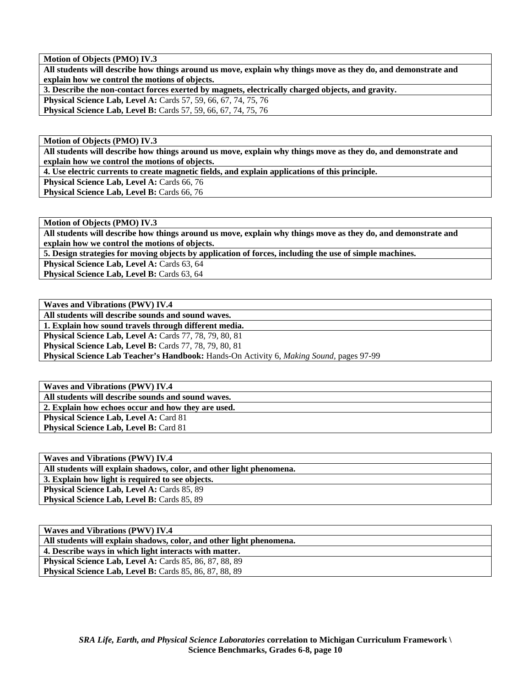**Motion of Objects (PMO) IV.3** 

**All students will describe how things around us move, explain why things move as they do, and demonstrate and explain how we control the motions of objects.** 

**3. Describe the non-contact forces exerted by magnets, electrically charged objects, and gravity.** 

**Physical Science Lab, Level A:** Cards 57, 59, 66, 67, 74, 75, 76 **Physical Science Lab, Level B:** Cards 57, 59, 66, 67, 74, 75, 76

**Motion of Objects (PMO) IV.3** 

**All students will describe how things around us move, explain why things move as they do, and demonstrate and explain how we control the motions of objects.** 

**4. Use electric currents to create magnetic fields, and explain applications of this principle.** 

**Physical Science Lab, Level A: Cards 66, 76** 

**Physical Science Lab, Level B: Cards 66, 76** 

**Motion of Objects (PMO) IV.3** 

**All students will describe how things around us move, explain why things move as they do, and demonstrate and explain how we control the motions of objects.** 

**5. Design strategies for moving objects by application of forces, including the use of simple machines.** 

**Physical Science Lab, Level A: Cards 63, 64** 

**Physical Science Lab, Level B: Cards 63, 64** 

**Waves and Vibrations (PWV) IV.4** 

**All students will describe sounds and sound waves.** 

**1. Explain how sound travels through different media.** 

**Physical Science Lab, Level A: Cards 77, 78, 79, 80, 81** 

**Physical Science Lab, Level B: Cards 77, 78, 79, 80, 81** 

**Physical Science Lab Teacher's Handbook:** Hands-On Activity 6, *Making Sound,* pages 97-99

**Waves and Vibrations (PWV) IV.4 All students will describe sounds and sound waves. 2. Explain how echoes occur and how they are used. Physical Science Lab, Level A: Card 81 Physical Science Lab, Level B: Card 81** 

| <b>Waves and Vibrations (PWV) IV.4</b>                               |
|----------------------------------------------------------------------|
| All students will explain shadows, color, and other light phenomena. |
| 3. Explain how light is required to see objects.                     |
| <b>Physical Science Lab, Level A: Cards 85, 89</b>                   |
| <b>Physical Science Lab, Level B: Cards 85, 89</b>                   |

| Waves and Vibrations (PWV) IV.4                                      |
|----------------------------------------------------------------------|
| All students will explain shadows, color, and other light phenomena. |
| 4. Describe ways in which light interacts with matter.               |
| <b>Physical Science Lab, Level A: Cards 85, 86, 87, 88, 89</b>       |
| <b>Physical Science Lab, Level B:</b> Cards 85, 86, 87, 88, 89       |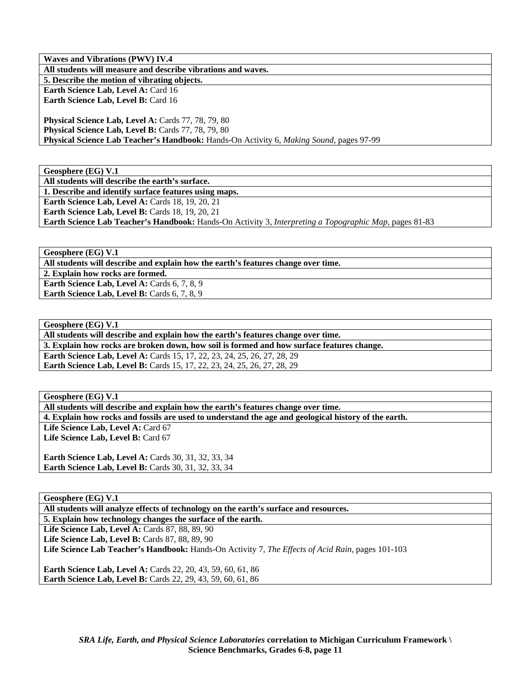**Waves and Vibrations (PWV) IV.4 All students will measure and describe vibrations and waves. 5. Describe the motion of vibrating objects.**  Earth Science Lab, Level A: Card 16 Earth Science Lab, Level B: Card 16 **Physical Science Lab, Level A: Cards 77, 78, 79, 80** 

**Physical Science Lab, Level B: Cards 77, 78, 79, 80 Physical Science Lab Teacher's Handbook:** Hands-On Activity 6, *Making Sound,* pages 97-99

**Geosphere (EG) V.1** 

**All students will describe the earth's surface.** 

**1. Describe and identify surface features using maps.** 

**Earth Science Lab, Level A: Cards 18, 19, 20, 21 Earth Science Lab, Level B: Cards 18, 19, 20, 21** 

**Earth Science Lab Teacher's Handbook:** Hands-On Activity 3, *Interpreting a Topographic Map,* pages 81-83

**Geosphere (EG) V.1** 

**All students will describe and explain how the earth's features change over time.** 

**2. Explain how rocks are formed. Earth Science Lab, Level A: Cards 6, 7, 8, 9** 

**Earth Science Lab, Level B:** Cards 6, 7, 8, 9

**Geosphere (EG) V.1** 

**All students will describe and explain how the earth's features change over time.** 

**3. Explain how rocks are broken down, how soil is formed and how surface features change.** 

**Earth Science Lab, Level A: Cards 15, 17, 22, 23, 24, 25, 26, 27, 28, 29 Earth Science Lab, Level B:** Cards 15, 17, 22, 23, 24, 25, 26, 27, 28, 29

**Geosphere (EG) V.1** 

**All students will describe and explain how the earth's features change over time.** 

**4. Explain how rocks and fossils are used to understand the age and geological history of the earth.** 

Life Science Lab, Level A: Card 67 Life Science Lab, Level B: Card 67

**Earth Science Lab, Level A: Cards 30, 31, 32, 33, 34 Earth Science Lab, Level B:** Cards 30, 31, 32, 33, 34

**Geosphere (EG) V.1** 

**All students will analyze effects of technology on the earth's surface and resources.** 

**5. Explain how technology changes the surface of the earth.** 

Life Science Lab, Level A: Cards 87, 88, 89, 90

**Life Science Lab, Level B: Cards 87, 88, 89, 90** 

**Life Science Lab Teacher's Handbook:** Hands-On Activity 7, *The Effects of Acid Rain,* pages 101-103

**Earth Science Lab, Level A: Cards 22, 20, 43, 59, 60, 61, 86 Earth Science Lab, Level B:** Cards 22, 29, 43, 59, 60, 61, 86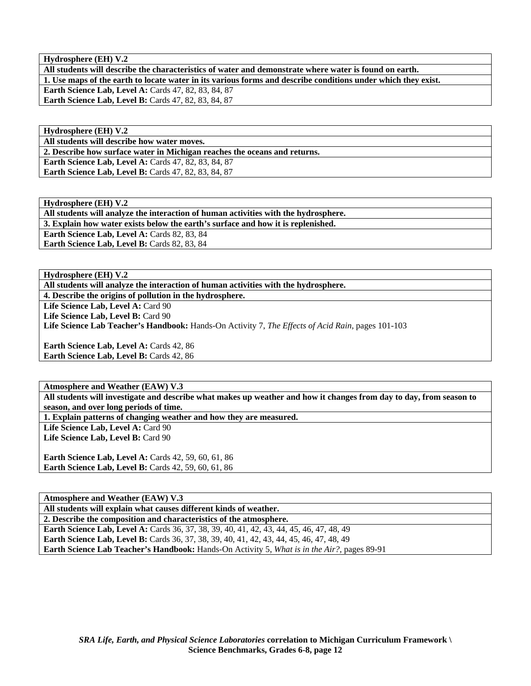**Hydrosphere (EH) V.2** 

**All students will describe the characteristics of water and demonstrate where water is found on earth. 1. Use maps of the earth to locate water in its various forms and describe conditions under which they exist. Earth Science Lab, Level A: Cards 47, 82, 83, 84, 87 Earth Science Lab, Level B: Cards 47, 82, 83, 84, 87** 

**Hydrosphere (EH) V.2** 

**All students will describe how water moves.** 

**2. Describe how surface water in Michigan reaches the oceans and returns.** 

**Earth Science Lab, Level A: Cards 47, 82, 83, 84, 87 Earth Science Lab, Level B: Cards 47, 82, 83, 84, 87** 

**Hydrosphere (EH) V.2 All students will analyze the interaction of human activities with the hydrosphere. 3. Explain how water exists below the earth's surface and how it is replenished.**  Earth Science Lab, Level A: Cards 82, 83, 84 **Earth Science Lab, Level B: Cards 82, 83, 84** 

**Hydrosphere (EH) V.2** 

**All students will analyze the interaction of human activities with the hydrosphere.** 

**4. Describe the origins of pollution in the hydrosphere.** 

Life Science Lab, Level A: Card 90

Life Science Lab, Level B: Card 90

**Life Science Lab Teacher's Handbook:** Hands-On Activity 7, *The Effects of Acid Rain,* pages 101-103

**Earth Science Lab, Level A: Cards 42, 86 Earth Science Lab, Level B: Cards 42, 86** 

**Atmosphere and Weather (EAW) V.3** 

**All students will investigate and describe what makes up weather and how it changes from day to day, from season to season, and over long periods of time.** 

**1. Explain patterns of changing weather and how they are measured.** 

Life Science Lab, Level A: Card 90 Life Science Lab, Level B: Card 90

**Earth Science Lab, Level A: Cards 42, 59, 60, 61, 86 Earth Science Lab, Level B:** Cards 42, 59, 60, 61, 86

**Atmosphere and Weather (EAW) V.3** 

**All students will explain what causes different kinds of weather.** 

**2. Describe the composition and characteristics of the atmosphere.** 

Earth Science Lab, Level A: Cards 36, 37, 38, 39, 40, 41, 42, 43, 44, 45, 46, 47, 48, 49 **Earth Science Lab, Level B:** Cards 36, 37, 38, 39, 40, 41, 42, 43, 44, 45, 46, 47, 48, 49 **Earth Science Lab Teacher's Handbook:** Hands-On Activity 5, *What is in the Air?,* pages 89-91